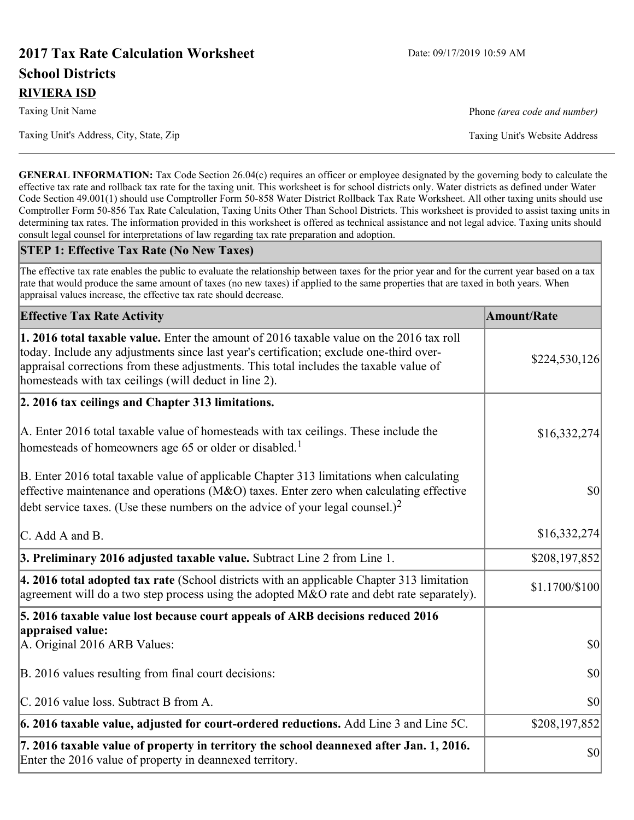# **2017 Tax Rate Calculation Worksheet** Date: 09/17/2019 10:59 AM **School Districts RIVIERA ISD**

Taxing Unit Name **Phone** *(area code and number)* Phone *(area code and number)* 

Taxing Unit's Address, City, State, Zip Taxing Unit's Website Address

**GENERAL INFORMATION:** Tax Code Section 26.04(c) requires an officer or employee designated by the governing body to calculate the effective tax rate and rollback tax rate for the taxing unit. This worksheet is for school districts only. Water districts as defined under Water Code Section 49.001(1) should use Comptroller Form 50-858 Water District Rollback Tax Rate Worksheet. All other taxing units should use Comptroller Form 50-856 Tax Rate Calculation, Taxing Units Other Than School Districts. This worksheet is provided to assist taxing units in determining tax rates. The information provided in this worksheet is offered as technical assistance and not legal advice. Taxing units should consult legal counsel for interpretations of law regarding tax rate preparation and adoption.

#### **STEP 1: Effective Tax Rate (No New Taxes)**

The effective tax rate enables the public to evaluate the relationship between taxes for the prior year and for the current year based on a tax rate that would produce the same amount of taxes (no new taxes) if applied to the same properties that are taxed in both years. When appraisal values increase, the effective tax rate should decrease.

| <b>Effective Tax Rate Activity</b>                                                                                                                                                                                                                                                                                                            | <b>Amount/Rate</b> |
|-----------------------------------------------------------------------------------------------------------------------------------------------------------------------------------------------------------------------------------------------------------------------------------------------------------------------------------------------|--------------------|
| <b>1. 2016 total taxable value.</b> Enter the amount of 2016 taxable value on the 2016 tax roll<br>today. Include any adjustments since last year's certification; exclude one-third over-<br>appraisal corrections from these adjustments. This total includes the taxable value of<br>homesteads with tax ceilings (will deduct in line 2). | \$224,530,126      |
| 2. 2016 tax ceilings and Chapter 313 limitations.                                                                                                                                                                                                                                                                                             |                    |
| A. Enter 2016 total taxable value of homesteads with tax ceilings. These include the<br>homesteads of homeowners age 65 or older or disabled. <sup>1</sup>                                                                                                                                                                                    | \$16,332,274       |
| B. Enter 2016 total taxable value of applicable Chapter 313 limitations when calculating<br>effective maintenance and operations ( $M&O$ ) taxes. Enter zero when calculating effective<br>debt service taxes. (Use these numbers on the advice of your legal counsel.) <sup>2</sup>                                                          | $ 10\rangle$       |
| C. Add A and B.                                                                                                                                                                                                                                                                                                                               | \$16,332,274       |
| 3. Preliminary 2016 adjusted taxable value. Subtract Line 2 from Line 1.                                                                                                                                                                                                                                                                      | \$208,197,852      |
| 4. 2016 total adopted tax rate (School districts with an applicable Chapter 313 limitation<br>agreement will do a two step process using the adopted M&O rate and debt rate separately).                                                                                                                                                      | \$1.1700/\$100     |
| 5. 2016 taxable value lost because court appeals of ARB decisions reduced 2016                                                                                                                                                                                                                                                                |                    |
| appraised value:<br>A. Original 2016 ARB Values:                                                                                                                                                                                                                                                                                              | $ 10\rangle$       |
| B. 2016 values resulting from final court decisions:                                                                                                                                                                                                                                                                                          | $ 10\rangle$       |
| C. 2016 value loss. Subtract B from A.                                                                                                                                                                                                                                                                                                        | \$0                |
| 6. 2016 taxable value, adjusted for court-ordered reductions. Add Line 3 and Line 5C.                                                                                                                                                                                                                                                         | \$208,197,852      |
| 7. 2016 taxable value of property in territory the school deannexed after Jan. 1, 2016.<br>Enter the 2016 value of property in deannexed territory.                                                                                                                                                                                           | \$0                |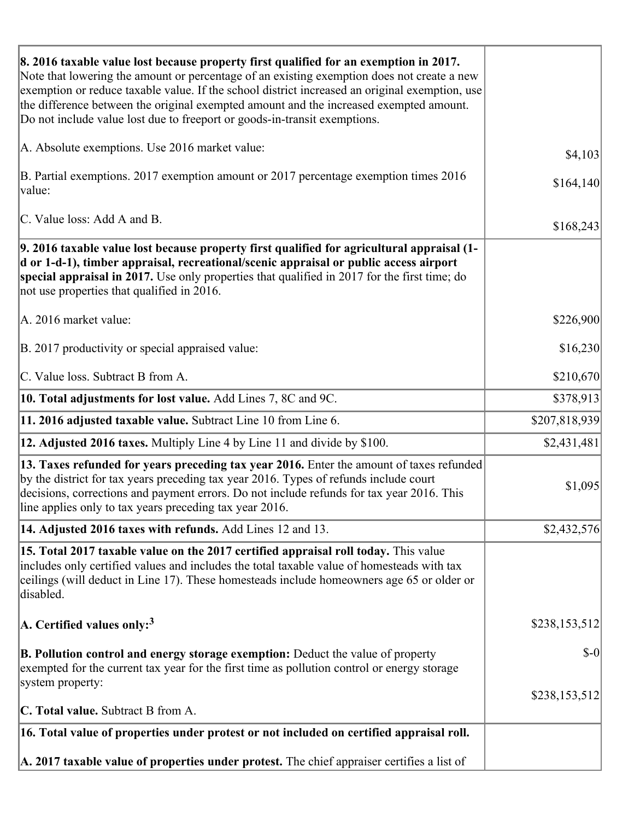| 8. 2016 taxable value lost because property first qualified for an exemption in 2017.<br>Note that lowering the amount or percentage of an existing exemption does not create a new<br>exemption or reduce taxable value. If the school district increased an original exemption, use<br>the difference between the original exempted amount and the increased exempted amount.<br>Do not include value lost due to freeport or goods-in-transit exemptions. |               |
|--------------------------------------------------------------------------------------------------------------------------------------------------------------------------------------------------------------------------------------------------------------------------------------------------------------------------------------------------------------------------------------------------------------------------------------------------------------|---------------|
| A. Absolute exemptions. Use 2016 market value:                                                                                                                                                                                                                                                                                                                                                                                                               | \$4,103       |
| B. Partial exemptions. 2017 exemption amount or 2017 percentage exemption times 2016<br>value:                                                                                                                                                                                                                                                                                                                                                               | \$164,140     |
| C. Value loss: Add A and B.                                                                                                                                                                                                                                                                                                                                                                                                                                  | \$168,243     |
| 9. 2016 taxable value lost because property first qualified for agricultural appraisal (1-<br>d or 1-d-1), timber appraisal, recreational/scenic appraisal or public access airport<br>special appraisal in 2017. Use only properties that qualified in 2017 for the first time; do<br>not use properties that qualified in 2016.                                                                                                                            |               |
| A. 2016 market value:                                                                                                                                                                                                                                                                                                                                                                                                                                        | \$226,900     |
| B. 2017 productivity or special appraised value:                                                                                                                                                                                                                                                                                                                                                                                                             | \$16,230      |
| C. Value loss. Subtract B from A.                                                                                                                                                                                                                                                                                                                                                                                                                            | \$210,670     |
| 10. Total adjustments for lost value. Add Lines 7, 8C and 9C.                                                                                                                                                                                                                                                                                                                                                                                                | \$378,913     |
| 11. 2016 adjusted taxable value. Subtract Line 10 from Line 6.                                                                                                                                                                                                                                                                                                                                                                                               | \$207,818,939 |
| <b>12. Adjusted 2016 taxes.</b> Multiply Line 4 by Line 11 and divide by \$100.                                                                                                                                                                                                                                                                                                                                                                              | \$2,431,481   |
| [13. Taxes refunded for years preceding tax year 2016. Enter the amount of taxes refunded]<br>by the district for tax years preceding tax year 2016. Types of refunds include court<br>decisions, corrections and payment errors. Do not include refunds for tax year 2016. This<br>line applies only to tax years preceding tax year 2016.                                                                                                                  | \$1,095       |
| 14. Adjusted 2016 taxes with refunds. Add Lines 12 and 13.                                                                                                                                                                                                                                                                                                                                                                                                   | \$2,432,576   |
| 15. Total 2017 taxable value on the 2017 certified appraisal roll today. This value<br>includes only certified values and includes the total taxable value of homesteads with tax<br>ceilings (will deduct in Line 17). These homesteads include homeowners age 65 or older or<br>disabled.                                                                                                                                                                  |               |
| A. Certified values only: <sup>3</sup>                                                                                                                                                                                                                                                                                                                                                                                                                       | \$238,153,512 |
| <b>B. Pollution control and energy storage exemption:</b> Deduct the value of property<br>exempted for the current tax year for the first time as pollution control or energy storage<br>system property:                                                                                                                                                                                                                                                    | $$-0$         |
| <b>C. Total value.</b> Subtract B from A.                                                                                                                                                                                                                                                                                                                                                                                                                    | \$238,153,512 |
| 16. Total value of properties under protest or not included on certified appraisal roll.                                                                                                                                                                                                                                                                                                                                                                     |               |
| A. 2017 taxable value of properties under protest. The chief appraiser certifies a list of                                                                                                                                                                                                                                                                                                                                                                   |               |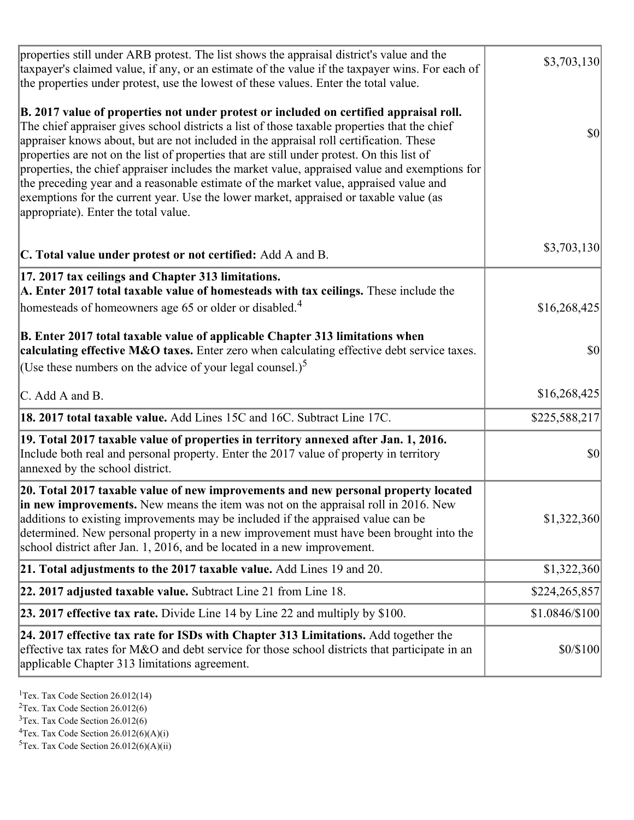| properties still under ARB protest. The list shows the appraisal district's value and the<br>taxpayer's claimed value, if any, or an estimate of the value if the taxpayer wins. For each of<br>the properties under protest, use the lowest of these values. Enter the total value.                                                                                                                                                                                                                                                                                                                                                                                                                      | \$3,703,130    |
|-----------------------------------------------------------------------------------------------------------------------------------------------------------------------------------------------------------------------------------------------------------------------------------------------------------------------------------------------------------------------------------------------------------------------------------------------------------------------------------------------------------------------------------------------------------------------------------------------------------------------------------------------------------------------------------------------------------|----------------|
| B. 2017 value of properties not under protest or included on certified appraisal roll.<br>The chief appraiser gives school districts a list of those taxable properties that the chief<br>appraiser knows about, but are not included in the appraisal roll certification. These<br>properties are not on the list of properties that are still under protest. On this list of<br>properties, the chief appraiser includes the market value, appraised value and exemptions for<br>the preceding year and a reasonable estimate of the market value, appraised value and<br>exemptions for the current year. Use the lower market, appraised or taxable value (as<br>appropriate). Enter the total value. | <b>\$0</b>     |
| C. Total value under protest or not certified: Add A and B.                                                                                                                                                                                                                                                                                                                                                                                                                                                                                                                                                                                                                                               | \$3,703,130    |
| 17. 2017 tax ceilings and Chapter 313 limitations.<br>A. Enter 2017 total taxable value of homesteads with tax ceilings. These include the<br>homesteads of homeowners age 65 or older or disabled. <sup>4</sup>                                                                                                                                                                                                                                                                                                                                                                                                                                                                                          | \$16,268,425   |
| B. Enter 2017 total taxable value of applicable Chapter 313 limitations when<br>calculating effective M&O taxes. Enter zero when calculating effective debt service taxes.<br>(Use these numbers on the advice of your legal counsel.) <sup>5</sup>                                                                                                                                                                                                                                                                                                                                                                                                                                                       | $ 10\rangle$   |
| C. Add A and B.                                                                                                                                                                                                                                                                                                                                                                                                                                                                                                                                                                                                                                                                                           | \$16,268,425   |
| 18. 2017 total taxable value. Add Lines 15C and 16C. Subtract Line 17C.                                                                                                                                                                                                                                                                                                                                                                                                                                                                                                                                                                                                                                   | \$225,588,217  |
| 19. Total 2017 taxable value of properties in territory annexed after Jan. 1, 2016.<br>Include both real and personal property. Enter the 2017 value of property in territory<br>annexed by the school district.                                                                                                                                                                                                                                                                                                                                                                                                                                                                                          | \$0            |
| 20. Total 2017 taxable value of new improvements and new personal property located<br>in new improvements. New means the item was not on the appraisal roll in 2016. New<br>additions to existing improvements may be included if the appraised value can be<br>determined. New personal property in a new improvement must have been brought into the<br>school district after Jan. 1, 2016, and be located in a new improvement.                                                                                                                                                                                                                                                                        | \$1,322,360    |
| 21. Total adjustments to the 2017 taxable value. Add Lines 19 and 20.                                                                                                                                                                                                                                                                                                                                                                                                                                                                                                                                                                                                                                     | \$1,322,360    |
| $ 22.2017$ adjusted taxable value. Subtract Line 21 from Line 18.                                                                                                                                                                                                                                                                                                                                                                                                                                                                                                                                                                                                                                         | \$224,265,857  |
| <b>23. 2017 effective tax rate.</b> Divide Line 14 by Line 22 and multiply by $$100$ .                                                                                                                                                                                                                                                                                                                                                                                                                                                                                                                                                                                                                    | \$1.0846/\$100 |
| 24. 2017 effective tax rate for ISDs with Chapter 313 Limitations. Add together the<br>effective tax rates for M&O and debt service for those school districts that participate in an<br>applicable Chapter 313 limitations agreement.                                                                                                                                                                                                                                                                                                                                                                                                                                                                    | \$0/\$100      |

<sup>1</sup>Tex. Tax Code Section  $26.012(14)$ 

<sup>2</sup>Tex. Tax Code Section 26.012(6)

 $3$ Tex. Tax Code Section 26.012(6)

 ${}^{4}$ Tex. Tax Code Section 26.012(6)(A)(i)

 ${}^{5}$ Tex. Tax Code Section 26.012(6)(A)(ii)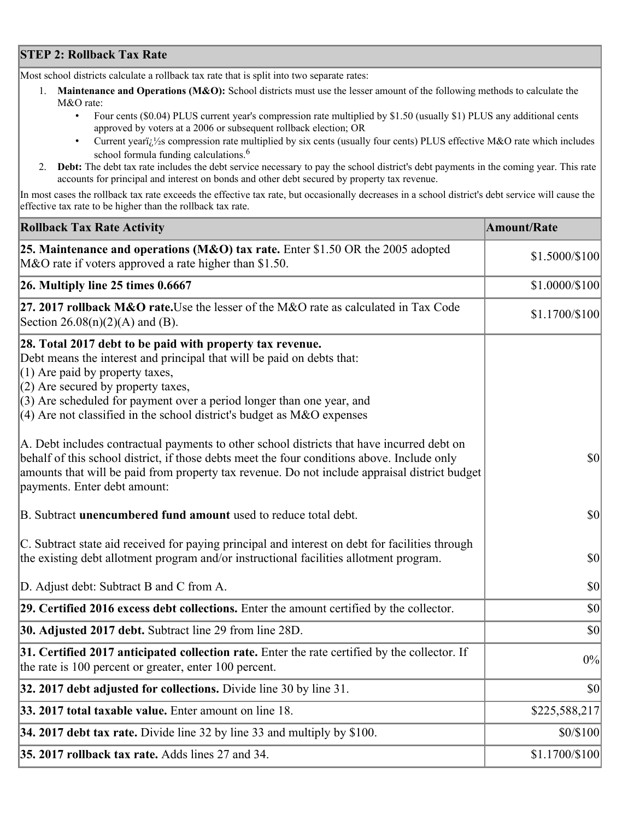## **STEP 2: Rollback Tax Rate**

Most school districts calculate a rollback tax rate that is split into two separate rates:

- 1. **Maintenance and Operations (M&O):** School districts must use the lesser amount of the following methods to calculate the M&O rate:
	- Four cents (\$0.04) PLUS current year's compression rate multiplied by \$1.50 (usually \$1) PLUS any additional cents approved by voters at a 2006 or subsequent rollback election; OR
	- Current year $i/\frac{1}{2}$ s compression rate multiplied by six cents (usually four cents) PLUS effective M&O rate which includes school formula funding calculations.<sup>6</sup>
- 2. **Debt:** The debt tax rate includes the debt service necessary to pay the school district's debt payments in the coming year. This rate accounts for principal and interest on bonds and other debt secured by property tax revenue.

In most cases the rollback tax rate exceeds the effective tax rate, but occasionally decreases in a school district's debt service will cause the effective tax rate to be higher than the rollback tax rate.

| <b>Rollback Tax Rate Activity</b>                                                                                                                                                                                                                                                                                                                                       | <b>Amount/Rate</b> |
|-------------------------------------------------------------------------------------------------------------------------------------------------------------------------------------------------------------------------------------------------------------------------------------------------------------------------------------------------------------------------|--------------------|
| 25. Maintenance and operations (M&O) tax rate. Enter \$1.50 OR the 2005 adopted<br>M&O rate if voters approved a rate higher than \$1.50.                                                                                                                                                                                                                               | \$1.5000/\$100     |
| $26.$ Multiply line 25 times $0.6667$                                                                                                                                                                                                                                                                                                                                   | \$1.0000/\$100     |
| 27. 2017 rollback M&O rate. Use the lesser of the M&O rate as calculated in Tax Code<br>Section 26.08(n)(2)(A) and (B).                                                                                                                                                                                                                                                 | \$1.1700/\$100     |
| 28. Total 2017 debt to be paid with property tax revenue.<br>Debt means the interest and principal that will be paid on debts that:<br>$(1)$ Are paid by property taxes,<br>$(2)$ Are secured by property taxes,<br>$(3)$ Are scheduled for payment over a period longer than one year, and<br>$(4)$ Are not classified in the school district's budget as M&O expenses |                    |
| A. Debt includes contractual payments to other school districts that have incurred debt on<br>behalf of this school district, if those debts meet the four conditions above. Include only<br>amounts that will be paid from property tax revenue. Do not include appraisal district budget<br>payments. Enter debt amount:                                              | $ 10\rangle$       |
| B. Subtract unencumbered fund amount used to reduce total debt.                                                                                                                                                                                                                                                                                                         | \$0                |
| C. Subtract state aid received for paying principal and interest on debt for facilities through<br>the existing debt allotment program and/or instructional facilities allotment program.                                                                                                                                                                               | $ 10\rangle$       |
| D. Adjust debt: Subtract B and C from A.                                                                                                                                                                                                                                                                                                                                | $ 10\rangle$       |
| 29. Certified 2016 excess debt collections. Enter the amount certified by the collector.                                                                                                                                                                                                                                                                                | $ 10\rangle$       |
| <b>30. Adjusted 2017 debt.</b> Subtract line 29 from line 28D.                                                                                                                                                                                                                                                                                                          | \$0                |
| 31. Certified 2017 anticipated collection rate. Enter the rate certified by the collector. If<br>the rate is 100 percent or greater, enter 100 percent.                                                                                                                                                                                                                 | 0%                 |
| 32. 2017 debt adjusted for collections. Divide line 30 by line 31.                                                                                                                                                                                                                                                                                                      | $ 10\rangle$       |
| 33. 2017 total taxable value. Enter amount on line 18.                                                                                                                                                                                                                                                                                                                  | \$225,588,217      |
| 34. 2017 debt tax rate. Divide line 32 by line 33 and multiply by $$100$ .                                                                                                                                                                                                                                                                                              | \$0/\$100          |
| 35. 2017 rollback tax rate. Adds lines 27 and 34.                                                                                                                                                                                                                                                                                                                       | \$1.1700/\$100     |